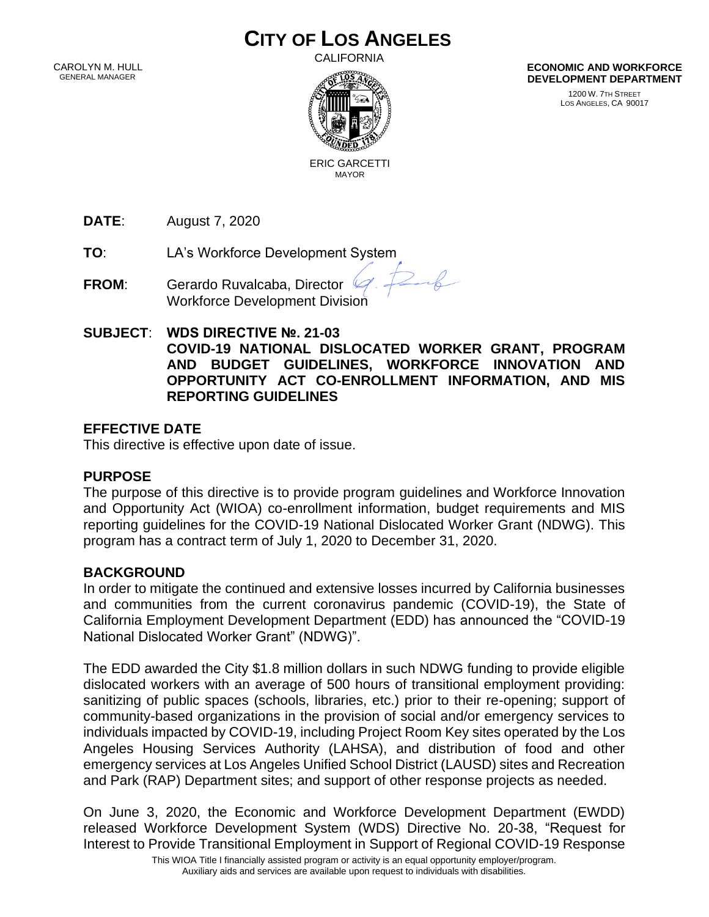# **CITY OF LOS ANGELES**

 CAROLYN M. HULL GENERAL MANAGER

CALIFORNIA



**ECONOMIC AND WORKFORCE DEVELOPMENT DEPARTMENT**

> 1200 W. 7TH STREET LOS ANGELES, CA 90017

 ERIC GARCETTI MAYOR

**DATE**: August 7, 2020

**TO**: LA's Workforce Development System

- **FROM**: Gerardo Ruvalcaba, Director Workforce Development Division
- **SUBJECT**: **WDS DIRECTIVE №. 21-03 COVID-19 NATIONAL DISLOCATED WORKER GRANT, PROGRAM AND BUDGET GUIDELINES, WORKFORCE INNOVATION AND OPPORTUNITY ACT CO-ENROLLMENT INFORMATION, AND MIS REPORTING GUIDELINES**

 $26$ 

# **EFFECTIVE DATE**

This directive is effective upon date of issue.

# **PURPOSE**

The purpose of this directive is to provide program guidelines and Workforce Innovation and Opportunity Act (WIOA) co-enrollment information, budget requirements and MIS reporting guidelines for the COVID-19 National Dislocated Worker Grant (NDWG). This program has a contract term of July 1, 2020 to December 31, 2020.

# **BACKGROUND**

In order to mitigate the continued and extensive losses incurred by California businesses and communities from the current coronavirus pandemic (COVID-19), the State of California Employment Development Department (EDD) has announced the "COVID-19 National Dislocated Worker Grant" (NDWG)".

The EDD awarded the City \$1.8 million dollars in such NDWG funding to provide eligible dislocated workers with an average of 500 hours of transitional employment providing: sanitizing of public spaces (schools, libraries, etc.) prior to their re-opening; support of community-based organizations in the provision of social and/or emergency services to individuals impacted by COVID-19, including Project Room Key sites operated by the Los Angeles Housing Services Authority (LAHSA), and distribution of food and other emergency services at Los Angeles Unified School District (LAUSD) sites and Recreation and Park (RAP) Department sites; and support of other response projects as needed.

On June 3, 2020, the Economic and Workforce Development Department (EWDD) released Workforce Development System (WDS) Directive No. 20-38, "Request for Interest to Provide Transitional Employment in Support of Regional COVID-19 Response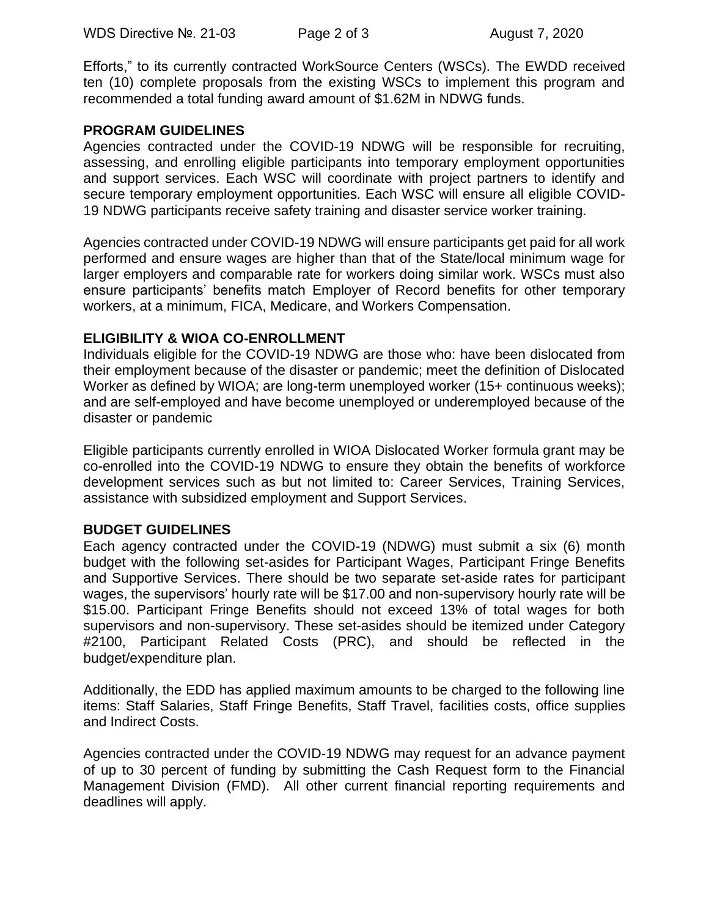Efforts," to its currently contracted WorkSource Centers (WSCs). The EWDD received ten (10) complete proposals from the existing WSCs to implement this program and recommended a total funding award amount of \$1.62M in NDWG funds.

### **PROGRAM GUIDELINES**

Agencies contracted under the COVID-19 NDWG will be responsible for recruiting, assessing, and enrolling eligible participants into temporary employment opportunities and support services. Each WSC will coordinate with project partners to identify and secure temporary employment opportunities. Each WSC will ensure all eligible COVID-19 NDWG participants receive safety training and disaster service worker training.

Agencies contracted under COVID-19 NDWG will ensure participants get paid for all work performed and ensure wages are higher than that of the State/local minimum wage for larger employers and comparable rate for workers doing similar work. WSCs must also ensure participants' benefits match Employer of Record benefits for other temporary workers, at a minimum, FICA, Medicare, and Workers Compensation.

#### **ELIGIBILITY & WIOA CO-ENROLLMENT**

Individuals eligible for the COVID-19 NDWG are those who: have been dislocated from their employment because of the disaster or pandemic; meet the definition of Dislocated Worker as defined by WIOA; are long-term unemployed worker (15+ continuous weeks); and are self-employed and have become unemployed or underemployed because of the disaster or pandemic

Eligible participants currently enrolled in WIOA Dislocated Worker formula grant may be co-enrolled into the COVID-19 NDWG to ensure they obtain the benefits of workforce development services such as but not limited to: Career Services, Training Services, assistance with subsidized employment and Support Services.

# **BUDGET GUIDELINES**

Each agency contracted under the COVID-19 (NDWG) must submit a six (6) month budget with the following set-asides for Participant Wages, Participant Fringe Benefits and Supportive Services. There should be two separate set-aside rates for participant wages, the supervisors' hourly rate will be \$17.00 and non-supervisory hourly rate will be \$15.00. Participant Fringe Benefits should not exceed 13% of total wages for both supervisors and non-supervisory. These set-asides should be itemized under Category #2100, Participant Related Costs (PRC), and should be reflected in the budget/expenditure plan.

Additionally, the EDD has applied maximum amounts to be charged to the following line items: Staff Salaries, Staff Fringe Benefits, Staff Travel, facilities costs, office supplies and Indirect Costs.

Agencies contracted under the COVID-19 NDWG may request for an advance payment of up to 30 percent of funding by submitting the Cash Request form to the Financial Management Division (FMD). All other current financial reporting requirements and deadlines will apply.